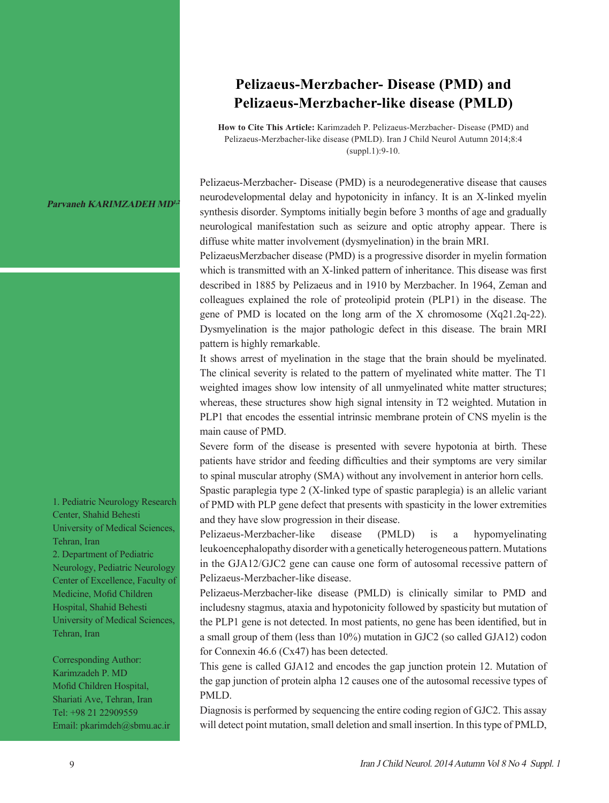## **Parvaneh KARIMZADEH MD<sup>1,</sup>**

1. Pediatric Neurology Research Center, Shahid Behesti University of Medical Sciences, Tehran, Iran 2. Department of Pediatric Neurology, Pediatric Neurology Center of Excellence, Faculty of Medicine, Mofid Children Hospital, Shahid Behesti University of Medical Sciences, Tehran, Iran

Corresponding Author: Karimzadeh P. MD Mofid Children Hospital, Shariati Ave, Tehran, Iran Tel: +98 21 22909559 Email: pkarimdeh@sbmu.ac.ir

## **Pelizaeus-Merzbacher- Disease (PMD) and Pelizaeus-Merzbacher-like disease (PMLD)**

**How to Cite This Article:** Karimzadeh P. Pelizaeus-Merzbacher- Disease (PMD) and Pelizaeus-Merzbacher-like disease (PMLD). Iran J Child Neurol Autumn 2014;8:4 (suppl.1):9-10.

Pelizaeus-Merzbacher- Disease (PMD) is a neurodegenerative disease that causes neurodevelopmental delay and hypotonicity in infancy. It is an X-linked myelin synthesis disorder. Symptoms initially begin before 3 months of age and gradually neurological manifestation such as seizure and optic atrophy appear. There is diffuse white matter involvement (dysmyelination) in the brain MRI.

PelizaeusMerzbacher disease (PMD) is a progressive disorder in myelin formation which is transmitted with an X-linked pattern of inheritance. This disease was first described in 1885 by Pelizaeus and in 1910 by Merzbacher. In 1964, Zeman and colleagues explained the role of proteolipid protein (PLP1) in the disease. The gene of PMD is located on the long arm of the X chromosome (Xq21.2q-22). Dysmyelination is the major pathologic defect in this disease. The brain MRI pattern is highly remarkable.

It shows arrest of myelination in the stage that the brain should be myelinated. The clinical severity is related to the pattern of myelinated white matter. The T1 weighted images show low intensity of all unmyelinated white matter structures; whereas, these structures show high signal intensity in T2 weighted. Mutation in PLP1 that encodes the essential intrinsic membrane protein of CNS myelin is the main cause of PMD.

Severe form of the disease is presented with severe hypotonia at birth. These patients have stridor and feeding difficulties and their symptoms are very similar to spinal muscular atrophy (SMA) without any involvement in anterior horn cells.

Spastic paraplegia type 2 (X-linked type of spastic paraplegia) is an allelic variant of PMD with PLP gene defect that presents with spasticity in the lower extremities and they have slow progression in their disease.

Pelizaeus-Merzbacher-like disease (PMLD) is a hypomyelinating leukoencephalopathy disorder with a genetically heterogeneous pattern. Mutations in the GJA12/GJC2 gene can cause one form of autosomal recessive pattern of Pelizaeus-Merzbacher-like disease.

Pelizaeus-Merzbacher-like disease (PMLD) is clinically similar to PMD and includesny stagmus, ataxia and hypotonicity followed by spasticity but mutation of the PLP1 gene is not detected. In most patients, no gene has been identified, but in a small group of them (less than 10%) mutation in GJC2 (so called GJA12) codon for Connexin 46.6 (Cx47) has been detected.

This gene is called GJA12 and encodes the gap junction protein 12. Mutation of the gap junction of protein alpha 12 causes one of the autosomal recessive types of PMLD.

Diagnosis is performed by sequencing the entire coding region of GJC2. This assay will detect point mutation, small deletion and small insertion. In this type of PMLD,